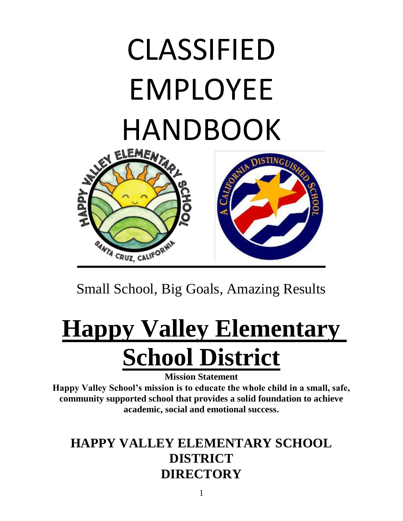# CLASSIFIED EMPLOYEE HANDBOOK



Small School, Big Goals, Amazing Results

# **Happy Valley Elementary School District**

**Mission Statement**

**Happy Valley School's mission is to educate the whole child in a small, safe, community supported school that provides a solid foundation to achieve academic, social and emotional success.**

# **HAPPY VALLEY ELEMENTARY SCHOOL DISTRICT DIRECTORY**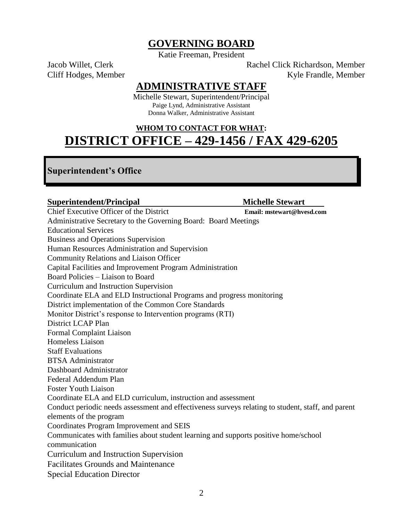#### **GOVERNING BOARD**

Katie Freeman, President

Jacob Willet, Clerk Richardson, Member Cliff Hodges, Member Kyle Frandle, Member

#### **ADMINISTRATIVE STAFF**

Michelle Stewart, Superintendent/Principal Paige Lynd, Administrative Assistant Donna Walker, Administrative Assistant

# **WHOM TO CONTACT FOR WHAT: DISTRICT OFFICE – 429-1456 / FAX 429-6205**

#### **Superintendent's Office**

| <b>Superintendent/Principal</b>                                                                      | <b>Michelle Stewart</b>   |
|------------------------------------------------------------------------------------------------------|---------------------------|
| Chief Executive Officer of the District                                                              | Email: mstewart@hvesd.com |
| Administrative Secretary to the Governing Board: Board Meetings                                      |                           |
| <b>Educational Services</b>                                                                          |                           |
| <b>Business and Operations Supervision</b>                                                           |                           |
| Human Resources Administration and Supervision                                                       |                           |
| Community Relations and Liaison Officer                                                              |                           |
| Capital Facilities and Improvement Program Administration                                            |                           |
| Board Policies – Liaison to Board                                                                    |                           |
| Curriculum and Instruction Supervision                                                               |                           |
| Coordinate ELA and ELD Instructional Programs and progress monitoring                                |                           |
| District implementation of the Common Core Standards                                                 |                           |
| Monitor District's response to Intervention programs (RTI)                                           |                           |
| District LCAP Plan                                                                                   |                           |
| <b>Formal Complaint Liaison</b>                                                                      |                           |
| <b>Homeless Liaison</b>                                                                              |                           |
| <b>Staff Evaluations</b>                                                                             |                           |
| <b>BTSA Administrator</b>                                                                            |                           |
| Dashboard Administrator                                                                              |                           |
| Federal Addendum Plan                                                                                |                           |
| <b>Foster Youth Liaison</b>                                                                          |                           |
| Coordinate ELA and ELD curriculum, instruction and assessment                                        |                           |
| Conduct periodic needs assessment and effectiveness surveys relating to student, staff, and parent   |                           |
| elements of the program                                                                              |                           |
| Coordinates Program Improvement and SEIS                                                             |                           |
| Communicates with families about student learning and supports positive home/school<br>communication |                           |
| <b>Curriculum and Instruction Supervision</b>                                                        |                           |
| <b>Facilitates Grounds and Maintenance</b>                                                           |                           |
| <b>Special Education Director</b>                                                                    |                           |
|                                                                                                      |                           |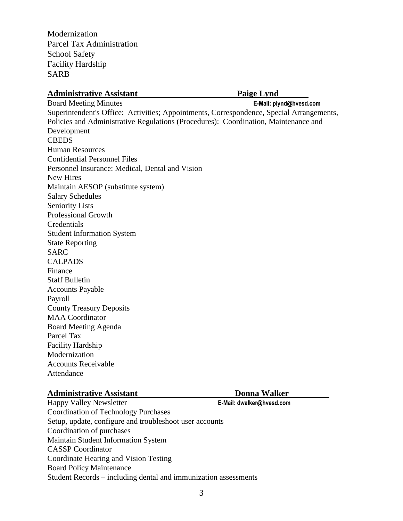Modernization Parcel Tax Administration School Safety Facility Hardship SARB

#### **Administrative Assistant Paige Lynd Paige Lynd Paige Lynd Paige Lynd Paige Lynd Paige Lynd Paige Lynd Paige Lynd Paige Lynd Paige Lynd Paige Lynd Paige Lynd Paige Lynd Paige Lynd Paige Lynd Paige Lynd Paige Lynd Paige Lyn**

Board Meeting Minutes **E-Mail: plynd@hvesd.com**  Superintendent's Office: Activities; Appointments, Correspondence, Special Arrangements, Policies and Administrative Regulations (Procedures): Coordination, Maintenance and Development **CBEDS** Human Resources Confidential Personnel Files Personnel Insurance: Medical, Dental and Vision New Hires Maintain AESOP (substitute system) Salary Schedules Seniority Lists Professional Growth **Credentials** Student Information System State Reporting SARC CALPADS Finance Staff Bulletin Accounts Payable Payroll County Treasury Deposits MAA Coordinator Board Meeting Agenda Parcel Tax Facility Hardship Modernization Accounts Receivable

#### **Administrative Assistant Donna Walker**

Attendance

Happy Valley Newsletter **E-Mail: dwalker@hvesd.com** Coordination of Technology Purchases Setup, update, configure and troubleshoot user accounts Coordination of purchases Maintain Student Information System CASSP Coordinator Coordinate Hearing and Vision Testing Board Policy Maintenance Student Records – including dental and immunization assessments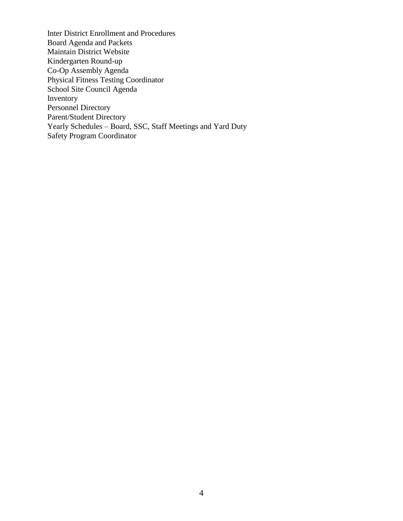Inter District Enrollment and Procedures Board Agenda and Packets Maintain District Website Kindergarten Round-up Co-Op Assembly Agenda Physical Fitness Testing Coordinator School Site Council Agenda Inventory Personnel Directory Parent/Student Directory Yearly Schedules – Board, SSC, Staff Meetings and Yard Duty Safety Program Coordinator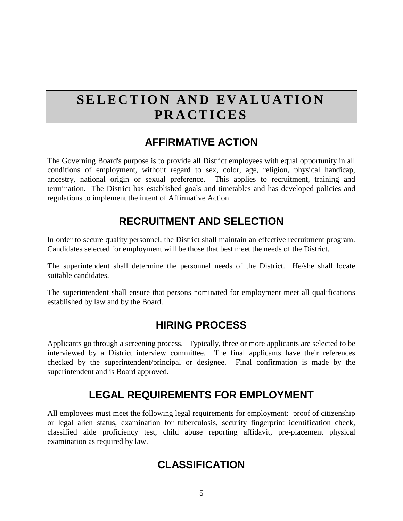# **SELECTION AND EVALUATION P R A C T I C E S**

### **AFFIRMATIVE ACTION**

The Governing Board's purpose is to provide all District employees with equal opportunity in all conditions of employment, without regard to sex, color, age, religion, physical handicap, ancestry, national origin or sexual preference. This applies to recruitment, training and termination. The District has established goals and timetables and has developed policies and regulations to implement the intent of Affirmative Action.

# **RECRUITMENT AND SELECTION**

In order to secure quality personnel, the District shall maintain an effective recruitment program. Candidates selected for employment will be those that best meet the needs of the District.

The superintendent shall determine the personnel needs of the District. He/she shall locate suitable candidates.

The superintendent shall ensure that persons nominated for employment meet all qualifications established by law and by the Board.

# **HIRING PROCESS**

Applicants go through a screening process. Typically, three or more applicants are selected to be interviewed by a District interview committee. The final applicants have their references checked by the superintendent/principal or designee. Final confirmation is made by the superintendent and is Board approved.

# **LEGAL REQUIREMENTS FOR EMPLOYMENT**

All employees must meet the following legal requirements for employment: proof of citizenship or legal alien status, examination for tuberculosis, security fingerprint identification check, classified aide proficiency test, child abuse reporting affidavit, pre-placement physical examination as required by law.

# **CLASSIFICATION**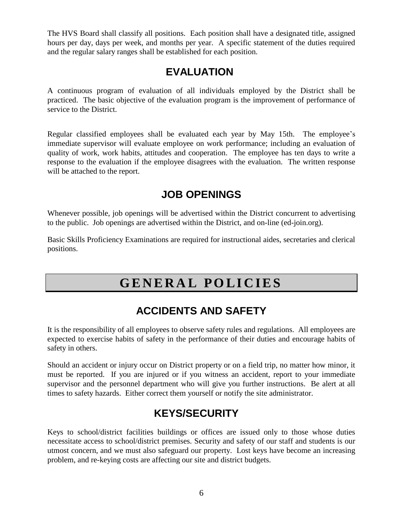The HVS Board shall classify all positions. Each position shall have a designated title, assigned hours per day, days per week, and months per year. A specific statement of the duties required and the regular salary ranges shall be established for each position.

#### **EVALUATION**

A continuous program of evaluation of all individuals employed by the District shall be practiced. The basic objective of the evaluation program is the improvement of performance of service to the District.

Regular classified employees shall be evaluated each year by May 15th. The employee's immediate supervisor will evaluate employee on work performance; including an evaluation of quality of work, work habits, attitudes and cooperation. The employee has ten days to write a response to the evaluation if the employee disagrees with the evaluation. The written response will be attached to the report.

# **JOB OPENINGS**

Whenever possible, job openings will be advertised within the District concurrent to advertising to the public. Job openings are advertised within the District, and on-line (ed-join.org).

Basic Skills Proficiency Examinations are required for instructional aides, secretaries and clerical positions.

# **G E N E R A L P O L I C I E S**

# **ACCIDENTS AND SAFETY**

It is the responsibility of all employees to observe safety rules and regulations. All employees are expected to exercise habits of safety in the performance of their duties and encourage habits of safety in others.

Should an accident or injury occur on District property or on a field trip, no matter how minor, it must be reported. If you are injured or if you witness an accident, report to your immediate supervisor and the personnel department who will give you further instructions. Be alert at all times to safety hazards. Either correct them yourself or notify the site administrator.

# **KEYS/SECURITY**

Keys to school/district facilities buildings or offices are issued only to those whose duties necessitate access to school/district premises. Security and safety of our staff and students is our utmost concern, and we must also safeguard our property. Lost keys have become an increasing problem, and re-keying costs are affecting our site and district budgets.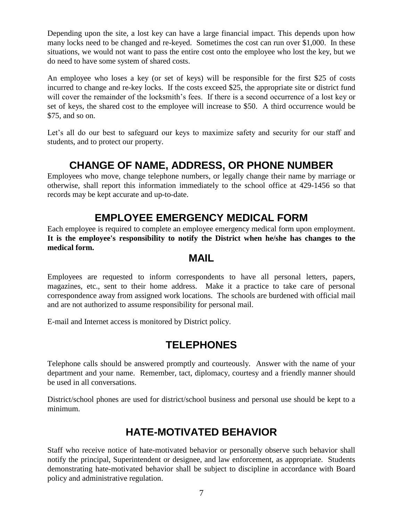Depending upon the site, a lost key can have a large financial impact. This depends upon how many locks need to be changed and re-keyed. Sometimes the cost can run over \$1,000. In these situations, we would not want to pass the entire cost onto the employee who lost the key, but we do need to have some system of shared costs.

An employee who loses a key (or set of keys) will be responsible for the first \$25 of costs incurred to change and re-key locks. If the costs exceed \$25, the appropriate site or district fund will cover the remainder of the locksmith's fees. If there is a second occurrence of a lost key or set of keys, the shared cost to the employee will increase to \$50. A third occurrence would be \$75, and so on.

Let's all do our best to safeguard our keys to maximize safety and security for our staff and students, and to protect our property.

# **CHANGE OF NAME, ADDRESS, OR PHONE NUMBER**

Employees who move, change telephone numbers, or legally change their name by marriage or otherwise, shall report this information immediately to the school office at 429-1456 so that records may be kept accurate and up-to-date.

# **EMPLOYEE EMERGENCY MEDICAL FORM**

Each employee is required to complete an employee emergency medical form upon employment. **It is the employee's responsibility to notify the District when he/she has changes to the medical form.**

#### **MAIL**

Employees are requested to inform correspondents to have all personal letters, papers, magazines, etc., sent to their home address. Make it a practice to take care of personal correspondence away from assigned work locations. The schools are burdened with official mail and are not authorized to assume responsibility for personal mail.

E-mail and Internet access is monitored by District policy.

# **TELEPHONES**

Telephone calls should be answered promptly and courteously. Answer with the name of your department and your name. Remember, tact, diplomacy, courtesy and a friendly manner should be used in all conversations.

District/school phones are used for district/school business and personal use should be kept to a minimum.

# **HATE-MOTIVATED BEHAVIOR**

Staff who receive notice of hate-motivated behavior or personally observe such behavior shall notify the principal, Superintendent or designee, and law enforcement, as appropriate. Students demonstrating hate-motivated behavior shall be subject to discipline in accordance with Board policy and administrative regulation.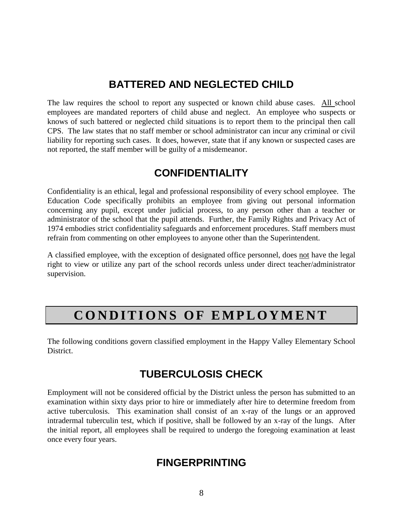# **BATTERED AND NEGLECTED CHILD**

The law requires the school to report any suspected or known child abuse cases. All school employees are mandated reporters of child abuse and neglect. An employee who suspects or knows of such battered or neglected child situations is to report them to the principal then call CPS. The law states that no staff member or school administrator can incur any criminal or civil liability for reporting such cases. It does, however, state that if any known or suspected cases are not reported, the staff member will be guilty of a misdemeanor.

# **CONFIDENTIALITY**

Confidentiality is an ethical, legal and professional responsibility of every school employee. The Education Code specifically prohibits an employee from giving out personal information concerning any pupil, except under judicial process, to any person other than a teacher or administrator of the school that the pupil attends. Further, the Family Rights and Privacy Act of 1974 embodies strict confidentiality safeguards and enforcement procedures. Staff members must refrain from commenting on other employees to anyone other than the Superintendent.

A classified employee, with the exception of designated office personnel, does not have the legal right to view or utilize any part of the school records unless under direct teacher/administrator supervision.

# **CONDITIONS OF EMPLOYMENT**

The following conditions govern classified employment in the Happy Valley Elementary School District.

# **TUBERCULOSIS CHECK**

Employment will not be considered official by the District unless the person has submitted to an examination within sixty days prior to hire or immediately after hire to determine freedom from active tuberculosis. This examination shall consist of an x-ray of the lungs or an approved intradermal tuberculin test, which if positive, shall be followed by an x-ray of the lungs. After the initial report, all employees shall be required to undergo the foregoing examination at least once every four years.

#### **FINGERPRINTING**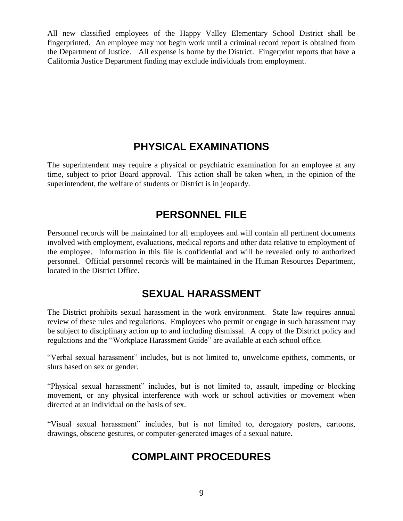All new classified employees of the Happy Valley Elementary School District shall be fingerprinted. An employee may not begin work until a criminal record report is obtained from the Department of Justice. All expense is borne by the District. Fingerprint reports that have a California Justice Department finding may exclude individuals from employment.

### **PHYSICAL EXAMINATIONS**

The superintendent may require a physical or psychiatric examination for an employee at any time, subject to prior Board approval. This action shall be taken when, in the opinion of the superintendent, the welfare of students or District is in jeopardy.

# **PERSONNEL FILE**

Personnel records will be maintained for all employees and will contain all pertinent documents involved with employment, evaluations, medical reports and other data relative to employment of the employee. Information in this file is confidential and will be revealed only to authorized personnel. Official personnel records will be maintained in the Human Resources Department, located in the District Office.

# **SEXUAL HARASSMENT**

The District prohibits sexual harassment in the work environment. State law requires annual review of these rules and regulations. Employees who permit or engage in such harassment may be subject to disciplinary action up to and including dismissal. A copy of the District policy and regulations and the "Workplace Harassment Guide" are available at each school office.

"Verbal sexual harassment" includes, but is not limited to, unwelcome epithets, comments, or slurs based on sex or gender.

"Physical sexual harassment" includes, but is not limited to, assault, impeding or blocking movement, or any physical interference with work or school activities or movement when directed at an individual on the basis of sex.

"Visual sexual harassment" includes, but is not limited to, derogatory posters, cartoons, drawings, obscene gestures, or computer-generated images of a sexual nature.

# **COMPLAINT PROCEDURES**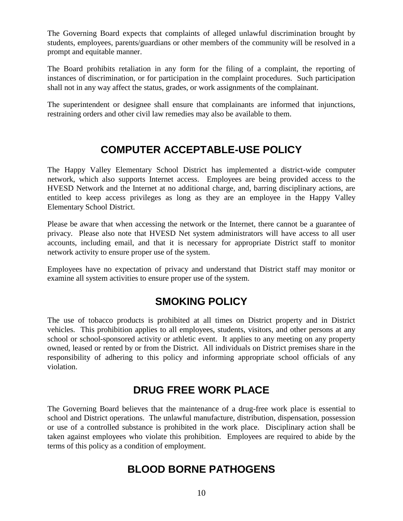The Governing Board expects that complaints of alleged unlawful discrimination brought by students, employees, parents/guardians or other members of the community will be resolved in a prompt and equitable manner.

The Board prohibits retaliation in any form for the filing of a complaint, the reporting of instances of discrimination, or for participation in the complaint procedures. Such participation shall not in any way affect the status, grades, or work assignments of the complainant.

The superintendent or designee shall ensure that complainants are informed that injunctions, restraining orders and other civil law remedies may also be available to them.

# **COMPUTER ACCEPTABLE-USE POLICY**

The Happy Valley Elementary School District has implemented a district-wide computer network, which also supports Internet access. Employees are being provided access to the HVESD Network and the Internet at no additional charge, and, barring disciplinary actions, are entitled to keep access privileges as long as they are an employee in the Happy Valley Elementary School District.

Please be aware that when accessing the network or the Internet, there cannot be a guarantee of privacy. Please also note that HVESD Net system administrators will have access to all user accounts, including email, and that it is necessary for appropriate District staff to monitor network activity to ensure proper use of the system.

Employees have no expectation of privacy and understand that District staff may monitor or examine all system activities to ensure proper use of the system.

# **SMOKING POLICY**

The use of tobacco products is prohibited at all times on District property and in District vehicles. This prohibition applies to all employees, students, visitors, and other persons at any school or school-sponsored activity or athletic event. It applies to any meeting on any property owned, leased or rented by or from the District. All individuals on District premises share in the responsibility of adhering to this policy and informing appropriate school officials of any violation.

# **DRUG FREE WORK PLACE**

The Governing Board believes that the maintenance of a drug-free work place is essential to school and District operations. The unlawful manufacture, distribution, dispensation, possession or use of a controlled substance is prohibited in the work place. Disciplinary action shall be taken against employees who violate this prohibition. Employees are required to abide by the terms of this policy as a condition of employment.

# **BLOOD BORNE PATHOGENS**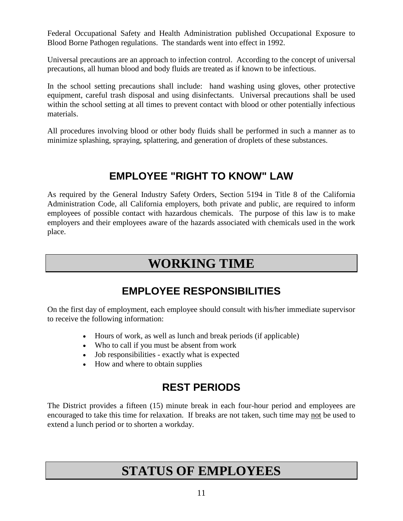Federal Occupational Safety and Health Administration published Occupational Exposure to Blood Borne Pathogen regulations. The standards went into effect in 1992.

Universal precautions are an approach to infection control. According to the concept of universal precautions, all human blood and body fluids are treated as if known to be infectious.

In the school setting precautions shall include: hand washing using gloves, other protective equipment, careful trash disposal and using disinfectants. Universal precautions shall be used within the school setting at all times to prevent contact with blood or other potentially infectious materials.

All procedures involving blood or other body fluids shall be performed in such a manner as to minimize splashing, spraying, splattering, and generation of droplets of these substances.

# **EMPLOYEE "RIGHT TO KNOW" LAW**

As required by the General Industry Safety Orders, Section 5194 in Title 8 of the California Administration Code, all California employers, both private and public, are required to inform employees of possible contact with hazardous chemicals. The purpose of this law is to make employers and their employees aware of the hazards associated with chemicals used in the work place.

# **WORKING TIME**

# **EMPLOYEE RESPONSIBILITIES**

On the first day of employment, each employee should consult with his/her immediate supervisor to receive the following information:

- Hours of work, as well as lunch and break periods (if applicable)
- Who to call if you must be absent from work
- Job responsibilities exactly what is expected
- How and where to obtain supplies

# **REST PERIODS**

The District provides a fifteen (15) minute break in each four-hour period and employees are encouraged to take this time for relaxation. If breaks are not taken, such time may not be used to extend a lunch period or to shorten a workday.

# **STATUS OF EMPLOYEES**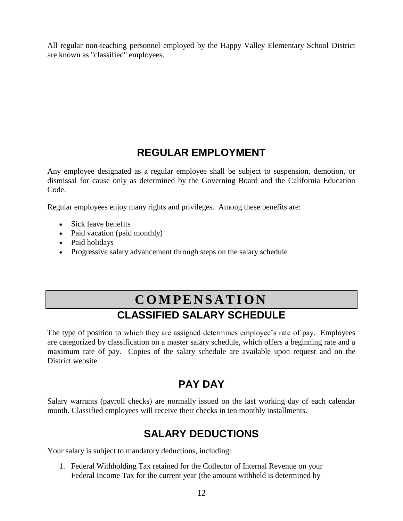All regular non-teaching personnel employed by the Happy Valley Elementary School District are known as "classified" employees.

# **REGULAR EMPLOYMENT**

Any employee designated as a regular employee shall be subject to suspension, demotion, or dismissal for cause only as determined by the Governing Board and the California Education Code.

Regular employees enjoy many rights and privileges. Among these benefits are:

- Sick leave benefits
- Paid vacation (paid monthly)
- Paid holidays
- Progressive salary advancement through steps on the salary schedule

# **C O M P E N S A T I O N CLASSIFIED SALARY SCHEDULE**

The type of position to which they are assigned determines employee's rate of pay. Employees are categorized by classification on a master salary schedule, which offers a beginning rate and a maximum rate of pay. Copies of the salary schedule are available upon request and on the District website.

# **PAY DAY**

Salary warrants (payroll checks) are normally issued on the last working day of each calendar month. Classified employees will receive their checks in ten monthly installments.

# **SALARY DEDUCTIONS**

Your salary is subject to mandatory deductions, including:

1. Federal Withholding Tax retained for the Collector of Internal Revenue on your Federal Income Tax for the current year (the amount withheld is determined by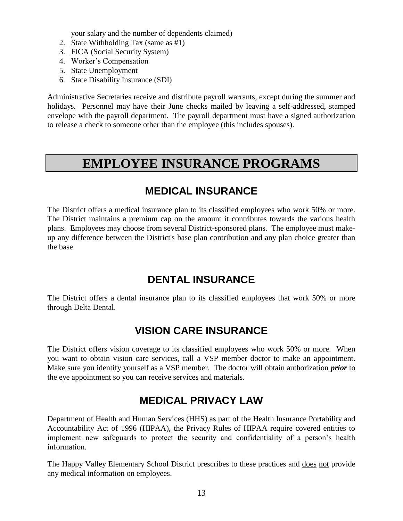your salary and the number of dependents claimed)

- 2. State Withholding Tax (same as #1)
- 3. FICA (Social Security System)
- 4. Worker's Compensation
- 5. State Unemployment
- 6. State Disability Insurance (SDI)

Administrative Secretaries receive and distribute payroll warrants, except during the summer and holidays. Personnel may have their June checks mailed by leaving a self-addressed, stamped envelope with the payroll department. The payroll department must have a signed authorization to release a check to someone other than the employee (this includes spouses).

# **EMPLOYEE INSURANCE PROGRAMS**

#### **MEDICAL INSURANCE**

The District offers a medical insurance plan to its classified employees who work 50% or more. The District maintains a premium cap on the amount it contributes towards the various health plans. Employees may choose from several District-sponsored plans. The employee must makeup any difference between the District's base plan contribution and any plan choice greater than the base.

# **DENTAL INSURANCE**

The District offers a dental insurance plan to its classified employees that work 50% or more through Delta Dental.

# **VISION CARE INSURANCE**

The District offers vision coverage to its classified employees who work 50% or more. When you want to obtain vision care services, call a VSP member doctor to make an appointment. Make sure you identify yourself as a VSP member. The doctor will obtain authorization *prior* to the eye appointment so you can receive services and materials.

# **MEDICAL PRIVACY LAW**

Department of Health and Human Services (HHS) as part of the Health Insurance Portability and Accountability Act of 1996 (HIPAA), the Privacy Rules of HIPAA require covered entities to implement new safeguards to protect the security and confidentiality of a person's health information.

The Happy Valley Elementary School District prescribes to these practices and does not provide any medical information on employees.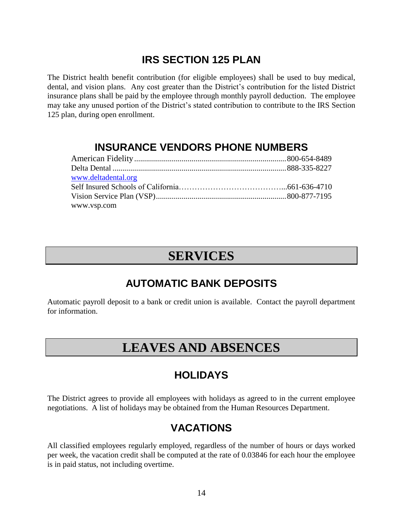# **IRS SECTION 125 PLAN**

The District health benefit contribution (for eligible employees) shall be used to buy medical, dental, and vision plans. Any cost greater than the District's contribution for the listed District insurance plans shall be paid by the employee through monthly payroll deduction. The employee may take any unused portion of the District's stated contribution to contribute to the IRS Section 125 plan, during open enrollment.

### **INSURANCE VENDORS PHONE NUMBERS**

| www.deltadental.org |  |
|---------------------|--|
|                     |  |
|                     |  |
| www.vsp.com         |  |

# **SERVICES**

# **AUTOMATIC BANK DEPOSITS**

Automatic payroll deposit to a bank or credit union is available. Contact the payroll department for information.

# **LEAVES AND ABSENCES**

# **HOLIDAYS**

The District agrees to provide all employees with holidays as agreed to in the current employee negotiations. A list of holidays may be obtained from the Human Resources Department.

# **VACATIONS**

All classified employees regularly employed, regardless of the number of hours or days worked per week, the vacation credit shall be computed at the rate of 0.03846 for each hour the employee is in paid status, not including overtime.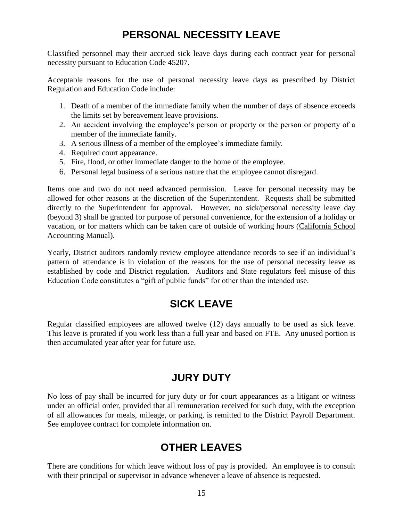# **PERSONAL NECESSITY LEAVE**

Classified personnel may their accrued sick leave days during each contract year for personal necessity pursuant to Education Code 45207.

Acceptable reasons for the use of personal necessity leave days as prescribed by District Regulation and Education Code include:

- 1. Death of a member of the immediate family when the number of days of absence exceeds the limits set by bereavement leave provisions.
- 2. An accident involving the employee's person or property or the person or property of a member of the immediate family.
- 3. A serious illness of a member of the employee's immediate family.
- 4. Required court appearance.
- 5. Fire, flood, or other immediate danger to the home of the employee.
- 6. Personal legal business of a serious nature that the employee cannot disregard.

Items one and two do not need advanced permission. Leave for personal necessity may be allowed for other reasons at the discretion of the Superintendent. Requests shall be submitted directly to the Superintendent for approval. However, no sick/personal necessity leave day (beyond 3) shall be granted for purpose of personal convenience, for the extension of a holiday or vacation, or for matters which can be taken care of outside of working hours (California School Accounting Manual).

Yearly, District auditors randomly review employee attendance records to see if an individual's pattern of attendance is in violation of the reasons for the use of personal necessity leave as established by code and District regulation. Auditors and State regulators feel misuse of this Education Code constitutes a "gift of public funds" for other than the intended use.

# **SICK LEAVE**

Regular classified employees are allowed twelve (12) days annually to be used as sick leave. This leave is prorated if you work less than a full year and based on FTE. Any unused portion is then accumulated year after year for future use.

#### **JURY DUTY**

No loss of pay shall be incurred for jury duty or for court appearances as a litigant or witness under an official order, provided that all remuneration received for such duty, with the exception of all allowances for meals, mileage, or parking, is remitted to the District Payroll Department. See employee contract for complete information on.

# **OTHER LEAVES**

There are conditions for which leave without loss of pay is provided. An employee is to consult with their principal or supervisor in advance whenever a leave of absence is requested.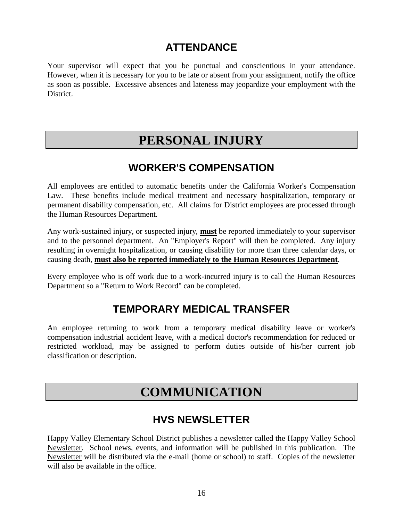# **ATTENDANCE**

Your supervisor will expect that you be punctual and conscientious in your attendance. However, when it is necessary for you to be late or absent from your assignment, notify the office as soon as possible. Excessive absences and lateness may jeopardize your employment with the District.

# **PERSONAL INJURY**

# **WORKER'S COMPENSATION**

All employees are entitled to automatic benefits under the California Worker's Compensation Law. These benefits include medical treatment and necessary hospitalization, temporary or permanent disability compensation, etc. All claims for District employees are processed through the Human Resources Department.

Any work-sustained injury, or suspected injury, **must** be reported immediately to your supervisor and to the personnel department. An "Employer's Report" will then be completed. Any injury resulting in overnight hospitalization, or causing disability for more than three calendar days, or causing death, **must also be reported immediately to the Human Resources Department**.

Every employee who is off work due to a work-incurred injury is to call the Human Resources Department so a "Return to Work Record" can be completed.

# **TEMPORARY MEDICAL TRANSFER**

An employee returning to work from a temporary medical disability leave or worker's compensation industrial accident leave, with a medical doctor's recommendation for reduced or restricted workload, may be assigned to perform duties outside of his/her current job classification or description.

# **COMMUNICATION**

# **HVS NEWSLETTER**

Happy Valley Elementary School District publishes a newsletter called the Happy Valley School Newsletter. School news, events, and information will be published in this publication. The Newsletter will be distributed via the e-mail (home or school) to staff. Copies of the newsletter will also be available in the office.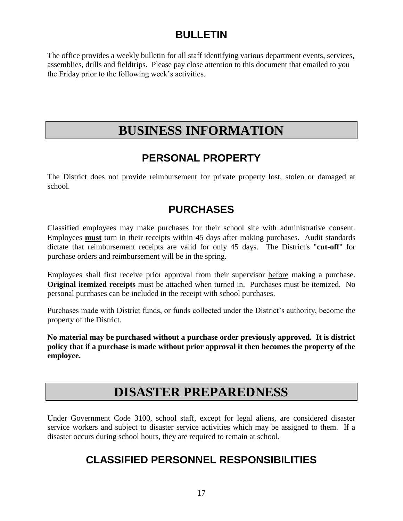# **BULLETIN**

The office provides a weekly bulletin for all staff identifying various department events, services, assemblies, drills and fieldtrips. Please pay close attention to this document that emailed to you the Friday prior to the following week's activities.

# **BUSINESS INFORMATION**

# **PERSONAL PROPERTY**

The District does not provide reimbursement for private property lost, stolen or damaged at school.

# **PURCHASES**

Classified employees may make purchases for their school site with administrative consent. Employees **must** turn in their receipts within 45 days after making purchases. Audit standards dictate that reimbursement receipts are valid for only 45 days. The District's "**cut-off**" for purchase orders and reimbursement will be in the spring.

Employees shall first receive prior approval from their supervisor before making a purchase. **Original itemized receipts** must be attached when turned in. Purchases must be itemized. No personal purchases can be included in the receipt with school purchases.

Purchases made with District funds, or funds collected under the District's authority, become the property of the District.

**No material may be purchased without a purchase order previously approved. It is district policy that if a purchase is made without prior approval it then becomes the property of the employee.**

# **DISASTER PREPAREDNESS**

Under Government Code 3100, school staff, except for legal aliens, are considered disaster service workers and subject to disaster service activities which may be assigned to them. If a disaster occurs during school hours, they are required to remain at school.

# **CLASSIFIED PERSONNEL RESPONSIBILITIES**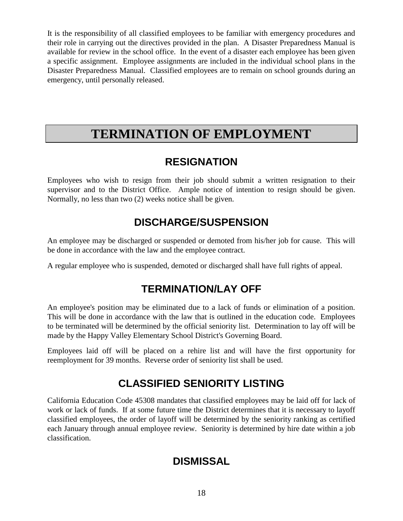It is the responsibility of all classified employees to be familiar with emergency procedures and their role in carrying out the directives provided in the plan. A Disaster Preparedness Manual is available for review in the school office. In the event of a disaster each employee has been given a specific assignment. Employee assignments are included in the individual school plans in the Disaster Preparedness Manual. Classified employees are to remain on school grounds during an emergency, until personally released.

# **TERMINATION OF EMPLOYMENT**

# **RESIGNATION**

Employees who wish to resign from their job should submit a written resignation to their supervisor and to the District Office. Ample notice of intention to resign should be given. Normally, no less than two (2) weeks notice shall be given.

# **DISCHARGE/SUSPENSION**

An employee may be discharged or suspended or demoted from his/her job for cause. This will be done in accordance with the law and the employee contract.

A regular employee who is suspended, demoted or discharged shall have full rights of appeal.

# **TERMINATION/LAY OFF**

An employee's position may be eliminated due to a lack of funds or elimination of a position. This will be done in accordance with the law that is outlined in the education code. Employees to be terminated will be determined by the official seniority list. Determination to lay off will be made by the Happy Valley Elementary School District's Governing Board.

Employees laid off will be placed on a rehire list and will have the first opportunity for reemployment for 39 months. Reverse order of seniority list shall be used.

# **CLASSIFIED SENIORITY LISTING**

California Education Code 45308 mandates that classified employees may be laid off for lack of work or lack of funds. If at some future time the District determines that it is necessary to layoff classified employees, the order of layoff will be determined by the seniority ranking as certified each January through annual employee review. Seniority is determined by hire date within a job classification.

# **DISMISSAL**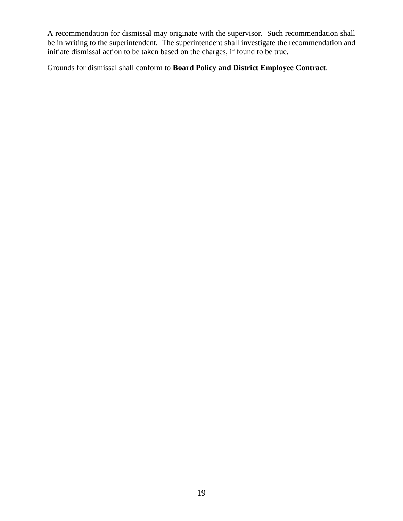A recommendation for dismissal may originate with the supervisor. Such recommendation shall be in writing to the superintendent. The superintendent shall investigate the recommendation and initiate dismissal action to be taken based on the charges, if found to be true.

Grounds for dismissal shall conform to **Board Policy and District Employee Contract**.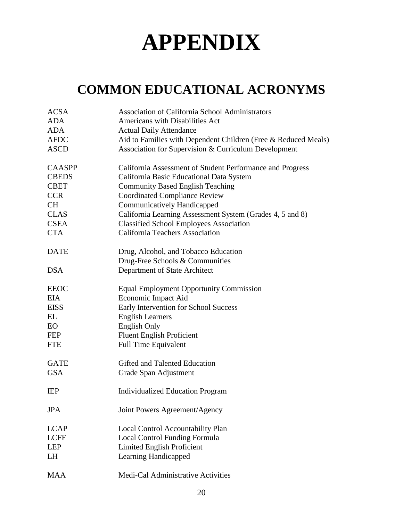# **APPENDIX**

# **COMMON EDUCATIONAL ACRONYMS**

| <b>ACSA</b>   | <b>Association of California School Administrators</b>         |
|---------------|----------------------------------------------------------------|
| <b>ADA</b>    | Americans with Disabilities Act                                |
| <b>ADA</b>    | <b>Actual Daily Attendance</b>                                 |
| <b>AFDC</b>   | Aid to Families with Dependent Children (Free & Reduced Meals) |
| <b>ASCD</b>   | Association for Supervision & Curriculum Development           |
| <b>CAASPP</b> | California Assessment of Student Performance and Progress      |
| <b>CBEDS</b>  | California Basic Educational Data System                       |
| <b>CBET</b>   | <b>Community Based English Teaching</b>                        |
| <b>CCR</b>    | <b>Coordinated Compliance Review</b>                           |
| <b>CH</b>     | Communicatively Handicapped                                    |
| <b>CLAS</b>   | California Learning Assessment System (Grades 4, 5 and 8)      |
| <b>CSEA</b>   | <b>Classified School Employees Association</b>                 |
| <b>CTA</b>    | <b>California Teachers Association</b>                         |
| <b>DATE</b>   | Drug, Alcohol, and Tobacco Education                           |
|               | Drug-Free Schools & Communities                                |
| <b>DSA</b>    | Department of State Architect                                  |
| <b>EEOC</b>   | <b>Equal Employment Opportunity Commission</b>                 |
| <b>EIA</b>    | Economic Impact Aid                                            |
| <b>EISS</b>   | Early Intervention for School Success                          |
| EL            | <b>English Learners</b>                                        |
| <b>EO</b>     | <b>English Only</b>                                            |
| <b>FEP</b>    | <b>Fluent English Proficient</b>                               |
| <b>FTE</b>    | <b>Full Time Equivalent</b>                                    |
| <b>GATE</b>   | Gifted and Talented Education                                  |
| <b>GSA</b>    | Grade Span Adjustment                                          |
| <b>IEP</b>    | <b>Individualized Education Program</b>                        |
| <b>JPA</b>    | Joint Powers Agreement/Agency                                  |
| <b>LCAP</b>   | Local Control Accountability Plan                              |
| <b>LCFF</b>   | <b>Local Control Funding Formula</b>                           |
| <b>LEP</b>    | <b>Limited English Proficient</b>                              |
| LH            | Learning Handicapped                                           |
| <b>MAA</b>    | Medi-Cal Administrative Activities                             |